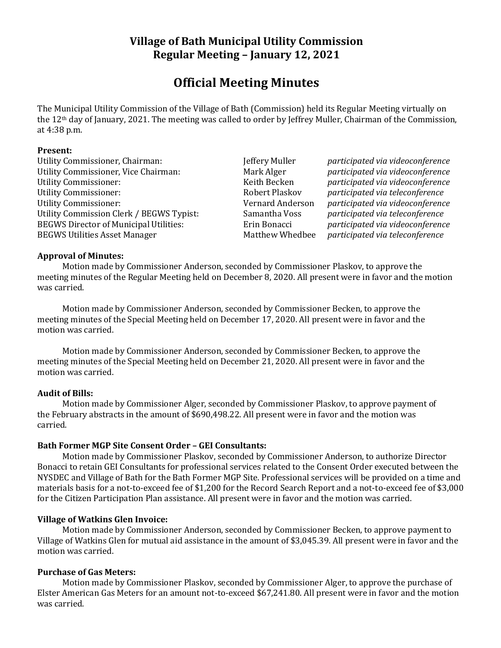# **Village of Bath Municipal Utility Commission Regular Meeting – January 12, 2021**

# **Official Meeting Minutes**

The Municipal Utility Commission of the Village of Bath (Commission) held its Regular Meeting virtually on the 12th day of January, 2021. The meeting was called to order by Jeffrey Muller, Chairman of the Commission, at 4:38 p.m.

#### **Present:**

Utility Commissioner, Chairman: Jeffery Muller *participated via videoconference* Utility Commissioner, Vice Chairman: Mark Alger *participated via videoconference* Utility Commissioner: Keith Becken *participated via videoconference* Utility Commissioner: Robert Plaskov *participated via teleconference* Utility Commissioner: Vernard Anderson *participated via videoconference* Utility Commission Clerk / BEGWS Typist: Samantha Voss *participated via teleconference* BEGWS Director of Municipal Utilities: Erin Bonacci *participated via videoconference* BEGWS Utilities Asset Manager Matthew Whedbee *participated via teleconference*

#### **Approval of Minutes:**

Motion made by Commissioner Anderson, seconded by Commissioner Plaskov, to approve the meeting minutes of the Regular Meeting held on December 8, 2020. All present were in favor and the motion was carried.

Motion made by Commissioner Anderson, seconded by Commissioner Becken, to approve the meeting minutes of the Special Meeting held on December 17, 2020. All present were in favor and the motion was carried.

Motion made by Commissioner Anderson, seconded by Commissioner Becken, to approve the meeting minutes of the Special Meeting held on December 21, 2020. All present were in favor and the motion was carried.

#### **Audit of Bills:**

Motion made by Commissioner Alger, seconded by Commissioner Plaskov, to approve payment of the February abstracts in the amount of \$690,498.22. All present were in favor and the motion was carried.

## **Bath Former MGP Site Consent Order – GEI Consultants:**

Motion made by Commissioner Plaskov, seconded by Commissioner Anderson, to authorize Director Bonacci to retain GEI Consultants for professional services related to the Consent Order executed between the NYSDEC and Village of Bath for the Bath Former MGP Site. Professional services will be provided on a time and materials basis for a not-to-exceed fee of \$1,200 for the Record Search Report and a not-to-exceed fee of \$3,000 for the Citizen Participation Plan assistance. All present were in favor and the motion was carried.

#### **Village of Watkins Glen Invoice:**

Motion made by Commissioner Anderson, seconded by Commissioner Becken, to approve payment to Village of Watkins Glen for mutual aid assistance in the amount of \$3,045.39. All present were in favor and the motion was carried.

#### **Purchase of Gas Meters:**

Motion made by Commissioner Plaskov, seconded by Commissioner Alger, to approve the purchase of Elster American Gas Meters for an amount not-to-exceed \$67,241.80. All present were in favor and the motion was carried.